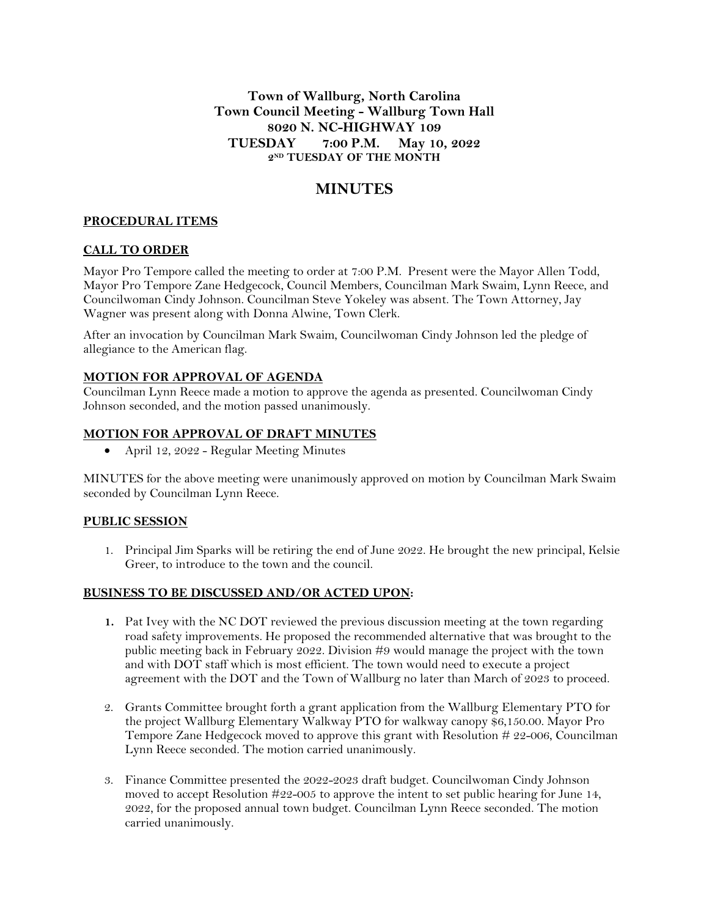**Town of Wallburg, North Carolina Town Council Meeting - Wallburg Town Hall 8020 N. NC-HIGHWAY 109 TUESDAY 7:00 P.M. May 10, 2022 2 ND TUESDAY OF THE MONTH**

# **MINUTES**

## **PROCEDURAL ITEMS**

#### **CALL TO ORDER**

Mayor Pro Tempore called the meeting to order at 7:00 P.M. Present were the Mayor Allen Todd, Mayor Pro Tempore Zane Hedgecock, Council Members, Councilman Mark Swaim, Lynn Reece, and Councilwoman Cindy Johnson. Councilman Steve Yokeley was absent. The Town Attorney, Jay Wagner was present along with Donna Alwine, Town Clerk.

After an invocation by Councilman Mark Swaim, Councilwoman Cindy Johnson led the pledge of allegiance to the American flag.

#### **MOTION FOR APPROVAL OF AGENDA**

Councilman Lynn Reece made a motion to approve the agenda as presented. Councilwoman Cindy Johnson seconded, and the motion passed unanimously.

#### **MOTION FOR APPROVAL OF DRAFT MINUTES**

April 12, 2022 - Regular Meeting Minutes

MINUTES for the above meeting were unanimously approved on motion by Councilman Mark Swaim seconded by Councilman Lynn Reece.

# **PUBLIC SESSION**

1. Principal Jim Sparks will be retiring the end of June 2022. He brought the new principal, Kelsie Greer, to introduce to the town and the council.

#### **BUSINESS TO BE DISCUSSED AND/OR ACTED UPON:**

- **1.** Pat Ivey with the NC DOT reviewed the previous discussion meeting at the town regarding road safety improvements. He proposed the recommended alternative that was brought to the public meeting back in February 2022. Division #9 would manage the project with the town and with DOT staff which is most efficient. The town would need to execute a project agreement with the DOT and the Town of Wallburg no later than March of 2023 to proceed.
- 2. Grants Committee brought forth a grant application from the Wallburg Elementary PTO for the project Wallburg Elementary Walkway PTO for walkway canopy \$6,150.00. Mayor Pro Tempore Zane Hedgecock moved to approve this grant with Resolution  $\#22{\text -}006$ , Councilman Lynn Reece seconded. The motion carried unanimously.
- 3. Finance Committee presented the 2022-2023 draft budget. Councilwoman Cindy Johnson moved to accept Resolution #22-005 to approve the intent to set public hearing for June 14, 2022, for the proposed annual town budget. Councilman Lynn Reece seconded. The motion carried unanimously.